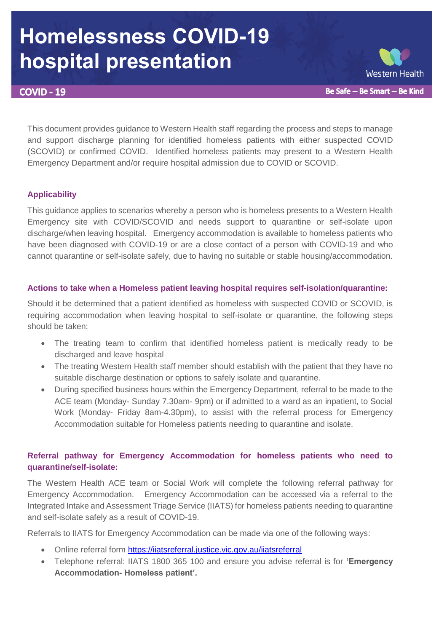# **Homelessness COVID-19 hospital presentation**

**COVID - 19** 



This document provides guidance to Western Health staff regarding the process and steps to manage and support discharge planning for identified homeless patients with either suspected COVID (SCOVID) or confirmed COVID. Identified homeless patients may present to a Western Health Emergency Department and/or require hospital admission due to COVID or SCOVID.

## **Applicability**

This guidance applies to scenarios whereby a person who is homeless presents to a Western Health Emergency site with COVID/SCOVID and needs support to quarantine or self-isolate upon discharge/when leaving hospital. Emergency accommodation is available to homeless patients who have been diagnosed with COVID-19 or are a close contact of a person with COVID-19 and who cannot quarantine or self-isolate safely, due to having no suitable or stable housing/accommodation.

### **Actions to take when a Homeless patient leaving hospital requires self-isolation/quarantine:**

Should it be determined that a patient identified as homeless with suspected COVID or SCOVID, is requiring accommodation when leaving hospital to self-isolate or quarantine, the following steps should be taken:

- The treating team to confirm that identified homeless patient is medically ready to be discharged and leave hospital
- The treating Western Health staff member should establish with the patient that they have no suitable discharge destination or options to safely isolate and quarantine.
- During specified business hours within the Emergency Department, referral to be made to the ACE team (Monday- Sunday 7.30am- 9pm) or if admitted to a ward as an inpatient, to Social Work (Monday- Friday 8am-4.30pm), to assist with the referral process for Emergency Accommodation suitable for Homeless patients needing to quarantine and isolate.

## **Referral pathway for Emergency Accommodation for homeless patients who need to quarantine/self-isolate:**

The Western Health ACE team or Social Work will complete the following referral pathway for Emergency Accommodation. Emergency Accommodation can be accessed via a referral to the Integrated Intake and Assessment Triage Service (IIATS) for homeless patients needing to quarantine and self-isolate safely as a result of COVID-19.

Referrals to IIATS for Emergency Accommodation can be made via one of the following ways:

- Online referral form [https://iiatsreferral.justice.vic.gov.au/iiatsreferral](https://secure-web.cisco.com/1K2rkxKYsXLsnBtpBkDZwCJppJ7QFl7Qwq2cwtHJZuUP_1lpQGrR48nxlzlHkxl7veYCcGSDfP3MAzPB_i14OhGsKDmgDApsH2IXDm76LSuGuMmrXGr8p7TUO8BwArpdy2cS3hVsS8-YnoYRBV0gT1fWxFLqKmL9jaqhltTHz2COIV5b8Wx4I5Om4MOsvxuuozRurEJ2sb6s09uo5TdlN-Kyohc3haCeMdQIcAnv4YBBuqMKEhw8T9PDWTyzU5hu7KzqoYRVw088TE19AtIXy2P8MkpMpfxfcCXQ8-JKppMu2TSvKTHM18hLG9OyPnZBU/https%3A%2F%2Fiiatsreferral.justice.vic.gov.au%2Fiiatsreferral)
- Telephone referral: IIATS 1800 365 100 and ensure you advise referral is for **'Emergency Accommodation- Homeless patient'.**